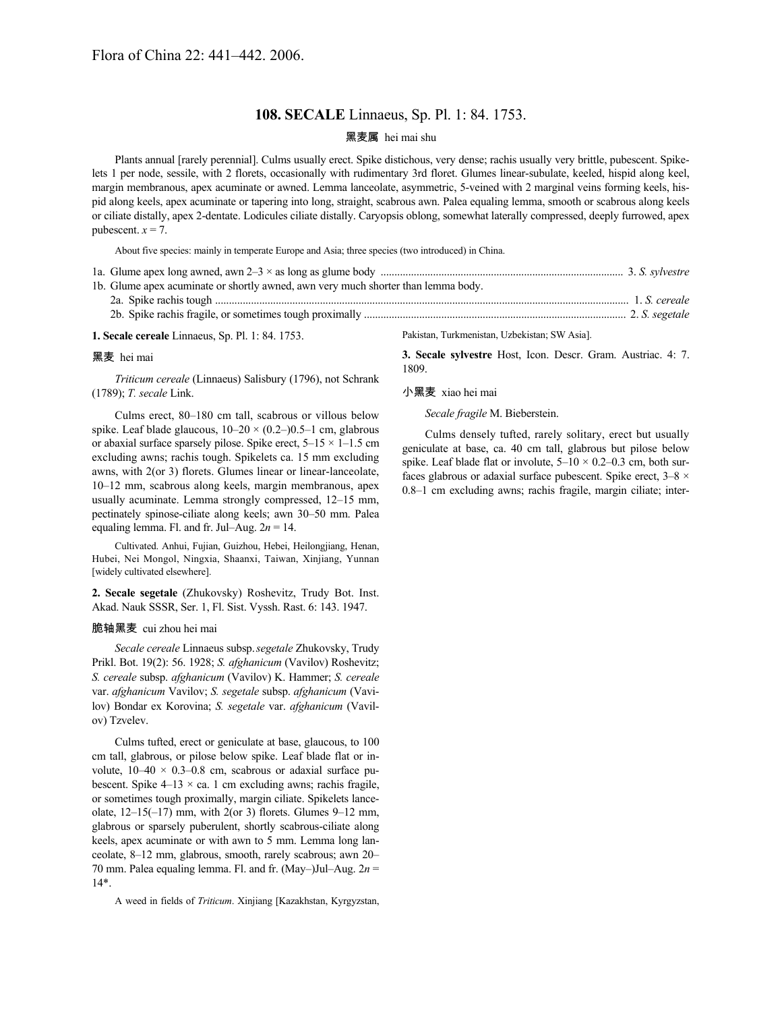## **108. SECALE** Linnaeus, Sp. Pl. 1: 84. 1753.

### 黑麦属 hei mai shu

Plants annual [rarely perennial]. Culms usually erect. Spike distichous, very dense; rachis usually very brittle, pubescent. Spikelets 1 per node, sessile, with 2 florets, occasionally with rudimentary 3rd floret. Glumes linear-subulate, keeled, hispid along keel, margin membranous, apex acuminate or awned. Lemma lanceolate, asymmetric, 5-veined with 2 marginal veins forming keels, hispid along keels, apex acuminate or tapering into long, straight, scabrous awn. Palea equaling lemma, smooth or scabrous along keels or ciliate distally, apex 2-dentate. Lodicules ciliate distally. Caryopsis oblong, somewhat laterally compressed, deeply furrowed, apex pubescent.  $x = 7$ .

About five species: mainly in temperate Europe and Asia; three species (two introduced) in China.

| 1b. Glume apex acuminate or shortly awned, awn very much shorter than lemma body. |                                               |
|-----------------------------------------------------------------------------------|-----------------------------------------------|
|                                                                                   |                                               |
|                                                                                   |                                               |
| <b>1. Secale cereale</b> Linnaeus, Sp. Pl. 1: 84. 1753.                           | Pakistan, Turkmenistan, Uzbekistan; SW Asia]. |

# 黑麦 hei mai

*Triticum cereale* (Linnaeus) Salisbury (1796), not Schrank (1789); *T. secale* Link.

Culms erect, 80–180 cm tall, scabrous or villous below spike. Leaf blade glaucous,  $10-20 \times (0.2-)0.5-1$  cm, glabrous or abaxial surface sparsely pilose. Spike erect,  $5-15 \times 1-1.5$  cm excluding awns; rachis tough. Spikelets ca. 15 mm excluding awns, with 2(or 3) florets. Glumes linear or linear-lanceolate, 10–12 mm, scabrous along keels, margin membranous, apex usually acuminate. Lemma strongly compressed, 12–15 mm, pectinately spinose-ciliate along keels; awn 30–50 mm. Palea equaling lemma. Fl. and fr. Jul–Aug.  $2n = 14$ .

Cultivated. Anhui, Fujian, Guizhou, Hebei, Heilongjiang, Henan, Hubei, Nei Mongol, Ningxia, Shaanxi, Taiwan, Xinjiang, Yunnan [widely cultivated elsewhere].

**2. Secale segetale** (Zhukovsky) Roshevitz, Trudy Bot. Inst. Akad. Nauk SSSR, Ser. 1, Fl. Sist. Vyssh. Rast. 6: 143. 1947.

#### 脆轴黑麦 cui zhou hei mai

*Secale cereale* Linnaeus subsp.*segetale* Zhukovsky, Trudy Prikl. Bot. 19(2): 56. 1928; *S. afghanicum* (Vavilov) Roshevitz; *S. cereale* subsp. *afghanicum* (Vavilov) K. Hammer; *S. cereale* var. *afghanicum* Vavilov; *S. segetale* subsp. *afghanicum* (Vavilov) Bondar ex Korovina; *S. segetale* var. *afghanicum* (Vavilov) Tzvelev.

Culms tufted, erect or geniculate at base, glaucous, to 100 cm tall, glabrous, or pilose below spike. Leaf blade flat or involute,  $10-40 \times 0.3-0.8$  cm, scabrous or adaxial surface pubescent. Spike  $4-13 \times ca$ . 1 cm excluding awns; rachis fragile, or sometimes tough proximally, margin ciliate. Spikelets lanceolate,  $12-15(-17)$  mm, with  $2($ or 3) florets. Glumes  $9-12$  mm, glabrous or sparsely puberulent, shortly scabrous-ciliate along keels, apex acuminate or with awn to 5 mm. Lemma long lanceolate, 8–12 mm, glabrous, smooth, rarely scabrous; awn 20– 70 mm. Palea equaling lemma. Fl. and fr. (May–)Jul–Aug. 2*n* = 14\*.

A weed in fields of *Triticum*. Xinjiang [Kazakhstan, Kyrgyzstan,

Pakistan, Turkmenistan, Uzbekistan; SW Asia].

**3. Secale sylvestre** Host, Icon. Descr. Gram. Austriac. 4: 7. 1809.

#### 小黑麦 xiao hei mai

*Secale fragile* M. Bieberstein.

Culms densely tufted, rarely solitary, erect but usually geniculate at base, ca. 40 cm tall, glabrous but pilose below spike. Leaf blade flat or involute,  $5-10 \times 0.2-0.3$  cm, both surfaces glabrous or adaxial surface pubescent. Spike erect,  $3-8 \times$ 0.8–1 cm excluding awns; rachis fragile, margin ciliate; inter-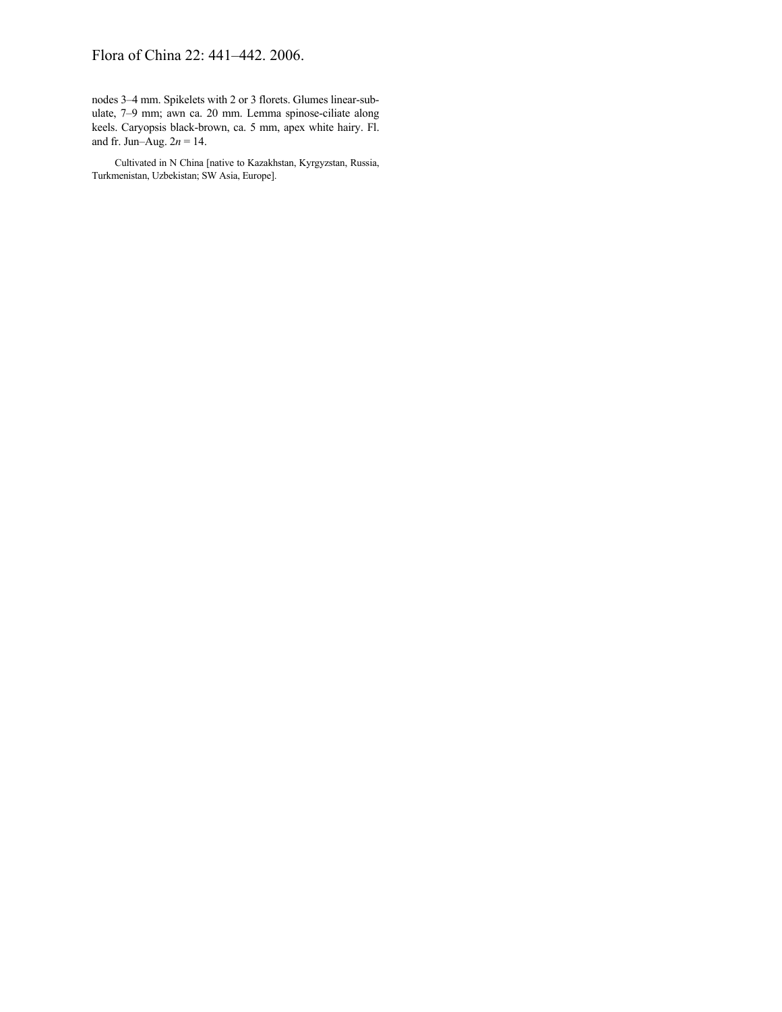## Flora of China 22: 441–442. 2006.

nodes 3–4 mm. Spikelets with 2 or 3 florets. Glumes linear-subulate, 7–9 mm; awn ca. 20 mm. Lemma spinose-ciliate along keels. Caryopsis black-brown, ca. 5 mm, apex white hairy. Fl. and fr. Jun–Aug. 2*n* = 14.

Cultivated in N China [native to Kazakhstan, Kyrgyzstan, Russia, Turkmenistan, Uzbekistan; SW Asia, Europe].